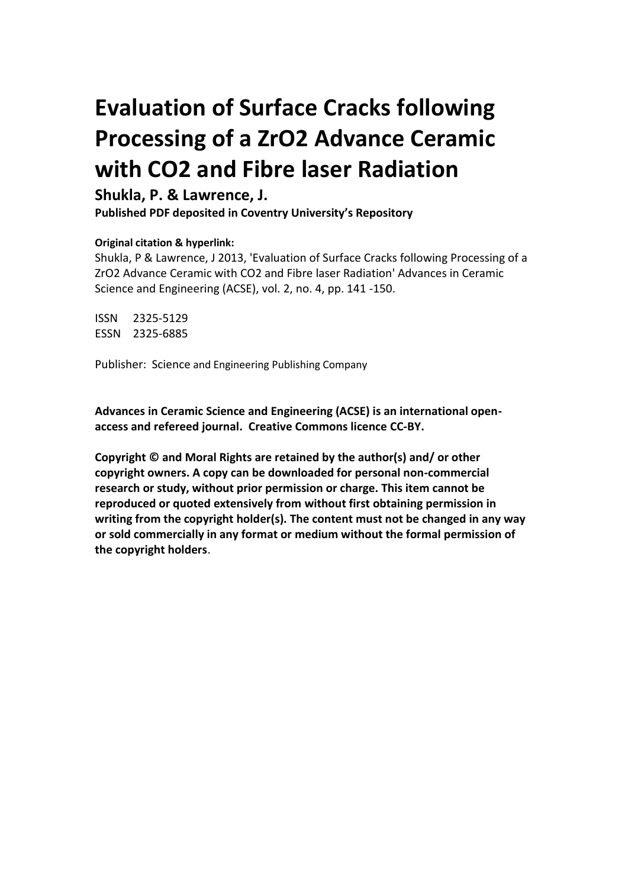# **Evaluation of Surface Cracks following Processing of a ZrO2 Advance Ceramic with CO2 and Fibre laser Radiation**

## **Shukla, P. & Lawrence, J.**

**Published PDF deposited in Coventry University's Repository** 

### **Original citation & hyperlink:**

Shukla, P & Lawrence, J 2013, 'Evaluation of Surface Cracks following Processing of a ZrO2 Advance Ceramic with CO2 and Fibre laser Radiation' Advances in Ceramic Science and Engineering (ACSE), vol. 2, no. 4, pp. 141 -150.

ISSN 2325-5129 ESSN 2325-6885

Publisher: Science and Engineering Publishing Company

**Advances in Ceramic Science and Engineering (ACSE) is an international openaccess and refereed journal. Creative Commons licence CC-BY.**

**Copyright © and Moral Rights are retained by the author(s) and/ or other copyright owners. A copy can be downloaded for personal non-commercial research or study, without prior permission or charge. This item cannot be reproduced or quoted extensively from without first obtaining permission in writing from the copyright holder(s). The content must not be changed in any way or sold commercially in any format or medium without the formal permission of the copyright holders**.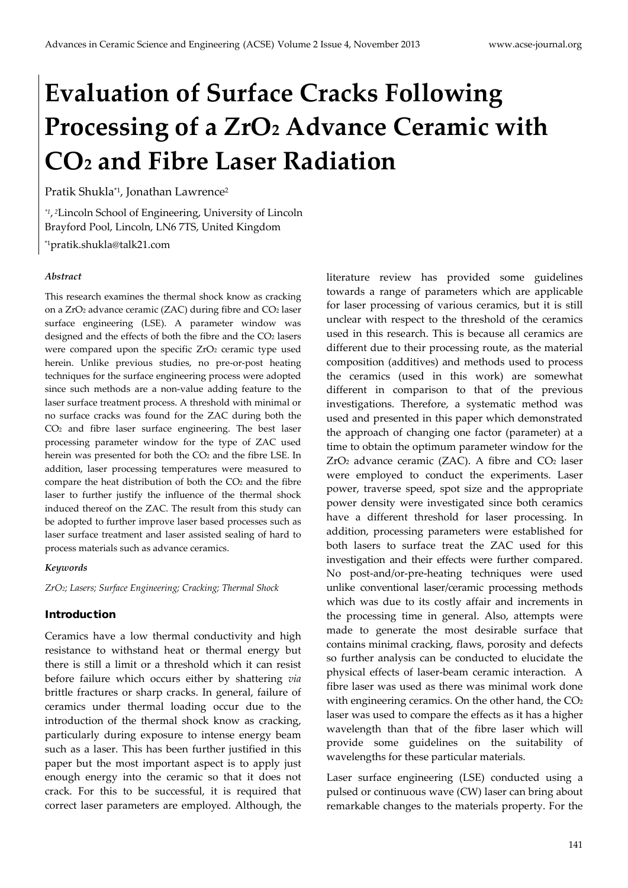# **Evaluation of Surface Cracks Following Processing of a ZrO2 Advance Ceramic with CO2 and Fibre Laser Radiation**

Pratik Shukla\*<sup>1</sup>, Jonathan Lawrence<sup>2</sup>

*\*1*, *<sup>2</sup>*Lincoln School of Engineering, University of Lincoln Brayford Pool, Lincoln, LN6 7TS, United Kingdom \*1pratik.shukla@talk21.com

#### *Abstract*

This research examines the thermal shock know as cracking on a ZrO2 advance ceramic (ZAC) during fibre and CO2 laser surface engineering (LSE). A parameter window was designed and the effects of both the fibre and the CO2 lasers were compared upon the specific  $ZrO<sub>2</sub>$  ceramic type used herein. Unlike previous studies, no pre-or-post heating techniques for the surface engineering process were adopted since such methods are a non-value adding feature to the laser surface treatment process. A threshold with minimal or no surface cracks was found for the ZAC during both the CO2 and fibre laser surface engineering. The best laser processing parameter window for the type of ZAC used herein was presented for both the CO<sub>2</sub> and the fibre LSE. In addition, laser processing temperatures were measured to compare the heat distribution of both the CO2 and the fibre laser to further justify the influence of the thermal shock induced thereof on the ZAC. The result from this study can be adopted to further improve laser based processes such as laser surface treatment and laser assisted sealing of hard to process materials such as advance ceramics.

#### *Keywords*

*ZrO2; Lasers; Surface Engineering; Cracking; Thermal Shock*

#### Introduction

Ceramics have a low thermal conductivity and high resistance to withstand heat or thermal energy but there is still a limit or a threshold which it can resist before failure which occurs either by shattering *via* brittle fractures or sharp cracks. In general, failure of ceramics under thermal loading occur due to the introduction of the thermal shock know as cracking, particularly during exposure to intense energy beam such as a laser. This has been further justified in this paper but the most important aspect is to apply just enough energy into the ceramic so that it does not crack. For this to be successful, it is required that correct laser parameters are employed. Although, the literature review has provided some guidelines towards a range of parameters which are applicable for laser processing of various ceramics, but it is still unclear with respect to the threshold of the ceramics used in this research. This is because all ceramics are different due to their processing route, as the material composition (additives) and methods used to process the ceramics (used in this work) are somewhat different in comparison to that of the previous investigations. Therefore, a systematic method was used and presented in this paper which demonstrated the approach of changing one factor (parameter) at a time to obtain the optimum parameter window for the  $ZrO<sub>2</sub>$  advance ceramic (ZAC). A fibre and  $CO<sub>2</sub>$  laser were employed to conduct the experiments. Laser power, traverse speed, spot size and the appropriate power density were investigated since both ceramics have a different threshold for laser processing. In addition, processing parameters were established for both lasers to surface treat the ZAC used for this investigation and their effects were further compared. No post-and/or-pre-heating techniques were used unlike conventional laser/ceramic processing methods which was due to its costly affair and increments in the processing time in general. Also, attempts were made to generate the most desirable surface that contains minimal cracking, flaws, porosity and defects so further analysis can be conducted to elucidate the physical effects of laser-beam ceramic interaction. A fibre laser was used as there was minimal work done with engineering ceramics. On the other hand, the CO<sub>2</sub> laser was used to compare the effects as it has a higher wavelength than that of the fibre laser which will provide some guidelines on the suitability of wavelengths for these particular materials.

Laser surface engineering (LSE) conducted using a pulsed or continuous wave (CW) laser can bring about remarkable changes to the materials property. For the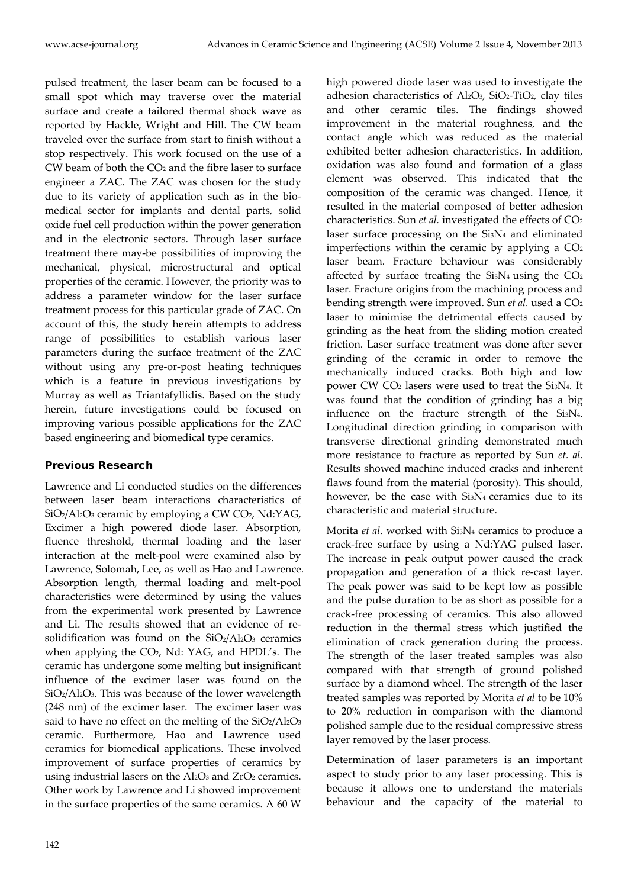pulsed treatment, the laser beam can be focused to a small spot which may traverse over the material surface and create a tailored thermal shock wave as reported by Hackle, Wright and Hill. The CW beam traveled over the surface from start to finish without a stop respectively. This work focused on the use of a CW beam of both the CO2 and the fibre laser to surface engineer a ZAC. The ZAC was chosen for the study due to its variety of application such as in the biomedical sector for implants and dental parts, solid oxide fuel cell production within the power generation and in the electronic sectors. Through laser surface treatment there may-be possibilities of improving the mechanical, physical, microstructural and optical properties of the ceramic. However, the priority was to address a parameter window for the laser surface treatment process for this particular grade of ZAC. On account of this, the study herein attempts to address range of possibilities to establish various laser parameters during the surface treatment of the ZAC without using any pre-or-post heating techniques which is a feature in previous investigations by Murray as well as Triantafyllidis. Based on the study herein, future investigations could be focused on improving various possible applications for the ZAC based engineering and biomedical type ceramics.

### Previous Research

Lawrence and Li conducted studies on the differences between laser beam interactions characteristics of SiO<sub>2</sub>/Al<sub>2</sub>O<sub>3</sub> ceramic by employing a CW CO<sub>2</sub>, Nd:YAG, Excimer a high powered diode laser. Absorption, fluence threshold, thermal loading and the laser interaction at the melt-pool were examined also by Lawrence, Solomah, Lee, as well as Hao and Lawrence. Absorption length, thermal loading and melt-pool characteristics were determined by using the values from the experimental work presented by Lawrence and Li. The results showed that an evidence of resolidification was found on the SiO2/Al2O3 ceramics when applying the CO<sub>2</sub>, Nd: YAG, and HPDL's. The ceramic has undergone some melting but insignificant influence of the excimer laser was found on the SiO2/Al2O3. This was because of the lower wavelength (248 nm) of the excimer laser. The excimer laser was said to have no effect on the melting of the  $SiO_2/Al_2O_3$ ceramic. Furthermore, Hao and Lawrence used ceramics for biomedical applications. These involved improvement of surface properties of ceramics by using industrial lasers on the Al<sub>2</sub>O<sub>3</sub> and ZrO<sub>2</sub> ceramics. Other work by Lawrence and Li showed improvement in the surface properties of the same ceramics. A 60 W

high powered diode laser was used to investigate the adhesion characteristics of Al2O3, SiO2-TiO2, clay tiles and other ceramic tiles. The findings showed improvement in the material roughness, and the contact angle which was reduced as the material exhibited better adhesion characteristics. In addition, oxidation was also found and formation of a glass element was observed. This indicated that the composition of the ceramic was changed. Hence, it resulted in the material composed of better adhesion characteristics. Sun *et al.* investigated the effects of CO<sub>2</sub> laser surface processing on the Si3N4 and eliminated imperfections within the ceramic by applying a  $CO<sub>2</sub>$ laser beam. Fracture behaviour was considerably affected by surface treating the  $Si<sub>3</sub>N<sub>4</sub>$  using the  $CO<sub>2</sub>$ laser. Fracture origins from the machining process and bending strength were improved. Sun *et al.* used a CO2 laser to minimise the detrimental effects caused by grinding as the heat from the sliding motion created friction. Laser surface treatment was done after sever grinding of the ceramic in order to remove the mechanically induced cracks. Both high and low power CW CO2 lasers were used to treat the Si3N4. It was found that the condition of grinding has a big influence on the fracture strength of the Si3N4. Longitudinal direction grinding in comparison with transverse directional grinding demonstrated much more resistance to fracture as reported by Sun *et. al*. Results showed machine induced cracks and inherent flaws found from the material (porosity). This should, however, be the case with Si<sub>3</sub>N<sub>4</sub> ceramics due to its characteristic and material structure.

Morita *et al*. worked with Si3N4 ceramics to produce a crack-free surface by using a Nd:YAG pulsed laser. The increase in peak output power caused the crack propagation and generation of a thick re-cast layer. The peak power was said to be kept low as possible and the pulse duration to be as short as possible for a crack-free processing of ceramics. This also allowed reduction in the thermal stress which justified the elimination of crack generation during the process. The strength of the laser treated samples was also compared with that strength of ground polished surface by a diamond wheel. The strength of the laser treated samples was reported by Morita *et al* to be 10% to 20% reduction in comparison with the diamond polished sample due to the residual compressive stress layer removed by the laser process.

Determination of laser parameters is an important aspect to study prior to any laser processing. This is because it allows one to understand the materials behaviour and the capacity of the material to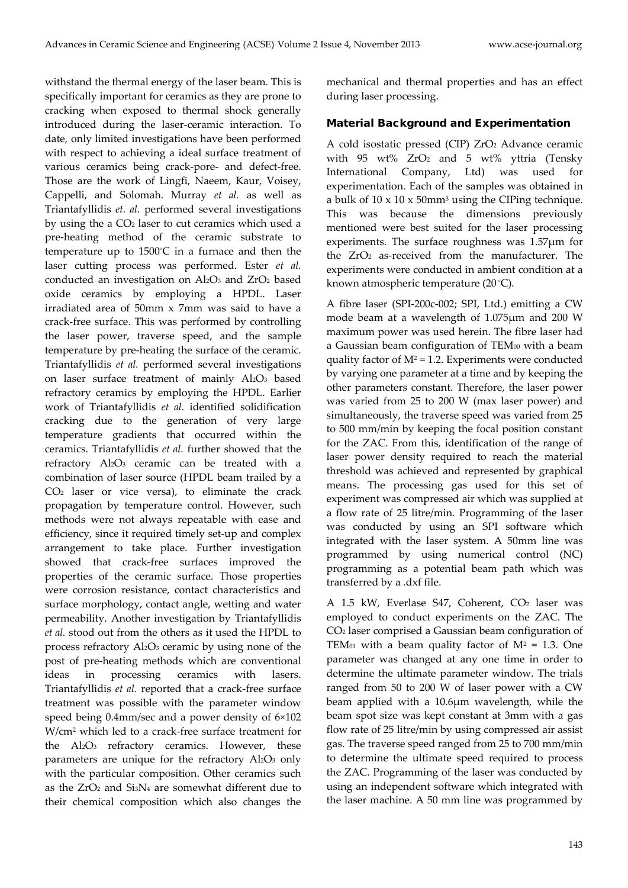withstand the thermal energy of the laser beam. This is specifically important for ceramics as they are prone to cracking when exposed to thermal shock generally introduced during the laser-ceramic interaction. To date, only limited investigations have been performed with respect to achieving a ideal surface treatment of various ceramics being crack-pore- and defect-free. Those are the work of Lingfi, Naeem, Kaur, Voisey, Cappelli, and Solomah. Murray *et al.* as well as Triantafyllidis *et. al.* performed several investigations by using the a CO2 laser to cut ceramics which used a pre-heating method of the ceramic substrate to temperature up to 1500° C in a furnace and then the laser cutting process was performed. Ester *et al.* conducted an investigation on Al2O3 and ZrO2 based oxide ceramics by employing a HPDL. Laser irradiated area of 50mm x 7mm was said to have a crack-free surface. This was performed by controlling the laser power, traverse speed, and the sample temperature by pre-heating the surface of the ceramic. Triantafyllidis *et al.* performed several investigations on laser surface treatment of mainly Al2O3 based refractory ceramics by employing the HPDL. Earlier work of Triantafyllidis *et al.* identified solidification cracking due to the generation of very large temperature gradients that occurred within the ceramics. Triantafyllidis *et al.* further showed that the refractory Al2O3 ceramic can be treated with a combination of laser source (HPDL beam trailed by a CO2 laser or vice versa), to eliminate the crack propagation by temperature control. However, such methods were not always repeatable with ease and efficiency, since it required timely set-up and complex arrangement to take place. Further investigation showed that crack-free surfaces improved the properties of the ceramic surface. Those properties were corrosion resistance, contact characteristics and surface morphology, contact angle, wetting and water permeability. Another investigation by Triantafyllidis *et al.* stood out from the others as it used the HPDL to process refractory Al2O3 ceramic by using none of the post of pre-heating methods which are conventional ideas in processing ceramics with lasers. Triantafyllidis *et al.* reported that a crack-free surface treatment was possible with the parameter window speed being 0.4mm/sec and a power density of 6×102 W/cm2 which led to a crack-free surface treatment for the Al2O3 refractory ceramics. However, these parameters are unique for the refractory Al2O3 only with the particular composition. Other ceramics such as the  $ZrO<sub>2</sub>$  and  $SisN<sub>4</sub>$  are somewhat different due to their chemical composition which also changes the

mechanical and thermal properties and has an effect during laser processing.

#### Material Background and Experimentation

A cold isostatic pressed (CIP) ZrO2 Advance ceramic with 95 wt% ZrO2 and 5 wt% yttria (Tensky International Company, Ltd) was used for experimentation. Each of the samples was obtained in a bulk of  $10 \times 10 \times 50$ mm<sup>3</sup> using the CIPing technique. This was because the dimensions previously mentioned were best suited for the laser processing experiments. The surface roughness was 1.57μm for the ZrO<sub>2</sub> as-received from the manufacturer. The experiments were conducted in ambient condition at a known atmospheric temperature (20 ° C).

A fibre laser (SPI-200c-002; SPI, Ltd.) emitting a CW mode beam at a wavelength of 1.075µm and 200 W maximum power was used herein. The fibre laser had a Gaussian beam configuration of TEM<sub>00</sub> with a beam quality factor of  $M^2$  = 1.2. Experiments were conducted by varying one parameter at a time and by keeping the other parameters constant. Therefore, the laser power was varied from 25 to 200 W (max laser power) and simultaneously, the traverse speed was varied from 25 to 500 mm/min by keeping the focal position constant for the ZAC. From this, identification of the range of laser power density required to reach the material threshold was achieved and represented by graphical means. The processing gas used for this set of experiment was compressed air which was supplied at a flow rate of 25 litre/min. Programming of the laser was conducted by using an SPI software which integrated with the laser system. A 50mm line was programmed by using numerical control (NC) programming as a potential beam path which was transferred by a .dxf file.

A 1.5 kW, Everlase S47, Coherent,  $CO<sub>2</sub>$  laser was employed to conduct experiments on the ZAC. The CO2 laser comprised a Gaussian beam configuration of TEM<sub>01</sub> with a beam quality factor of  $M^2 = 1.3$ . One parameter was changed at any one time in order to determine the ultimate parameter window. The trials ranged from 50 to 200 W of laser power with a CW beam applied with a 10.6µm wavelength, while the beam spot size was kept constant at 3mm with a gas flow rate of 25 litre/min by using compressed air assist gas. The traverse speed ranged from 25 to 700 mm/min to determine the ultimate speed required to process the ZAC. Programming of the laser was conducted by using an independent software which integrated with the laser machine. A 50 mm line was programmed by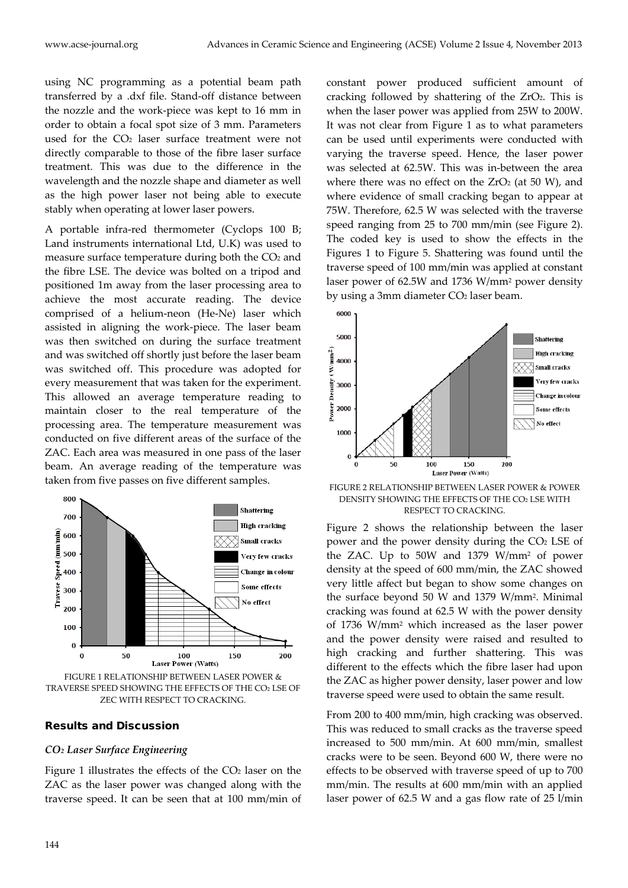using NC programming as a potential beam path transferred by a .dxf file. Stand-off distance between the nozzle and the work-piece was kept to 16 mm in order to obtain a focal spot size of 3 mm. Parameters used for the CO<sub>2</sub> laser surface treatment were not directly comparable to those of the fibre laser surface treatment. This was due to the difference in the wavelength and the nozzle shape and diameter as well as the high power laser not being able to execute stably when operating at lower laser powers.

A portable infra-red thermometer (Cyclops 100 B; Land instruments international Ltd, U.K) was used to measure surface temperature during both the CO2 and the fibre LSE. The device was bolted on a tripod and positioned 1m away from the laser processing area to achieve the most accurate reading. The device comprised of a helium-neon (He-Ne) laser which assisted in aligning the work-piece. The laser beam was then switched on during the surface treatment and was switched off shortly just before the laser beam was switched off. This procedure was adopted for every measurement that was taken for the experiment. This allowed an average temperature reading to maintain closer to the real temperature of the processing area. The temperature measurement was conducted on five different areas of the surface of the ZAC. Each area was measured in one pass of the laser beam. An average reading of the temperature was taken from five passes on five different samples.



FIGURE 1 RELATIONSHIP BETWEEN LASER POWER & TRAVERSE SPEED SHOWING THE EFFECTS OF THE CO2 LSE OF ZEC WITH RESPECT TO CRACKING.

#### Results and Discussion

#### *CO2 Laser Surface Engineering*

Figure 1 illustrates the effects of the CO<sub>2</sub> laser on the ZAC as the laser power was changed along with the traverse speed. It can be seen that at 100 mm/min of constant power produced sufficient amount of cracking followed by shattering of the ZrO2. This is when the laser power was applied from 25W to 200W. It was not clear from Figure 1 as to what parameters can be used until experiments were conducted with varying the traverse speed. Hence, the laser power was selected at 62.5W. This was in-between the area where there was no effect on the  $ZrO<sub>2</sub>$  (at 50 W), and where evidence of small cracking began to appear at 75W. Therefore, 62.5 W was selected with the traverse speed ranging from 25 to 700 mm/min (see Figure 2). The coded key is used to show the effects in the Figures 1 to Figure 5. Shattering was found until the traverse speed of 100 mm/min was applied at constant laser power of 62.5W and 1736 W/mm2 power density by using a 3mm diameter CO<sub>2</sub> laser beam.



FIGURE 2 RELATIONSHIP BETWEEN LASER POWER & POWER DENSITY SHOWING THE EFFECTS OF THE CO2 LSE WITH RESPECT TO CRACKING.

Figure 2 shows the relationship between the laser power and the power density during the CO2 LSE of the ZAC. Up to 50W and 1379 W/mm2 of power density at the speed of 600 mm/min, the ZAC showed very little affect but began to show some changes on the surface beyond 50 W and 1379 W/mm2. Minimal cracking was found at 62.5 W with the power density of 1736 W/mm2 which increased as the laser power and the power density were raised and resulted to high cracking and further shattering. This was different to the effects which the fibre laser had upon the ZAC as higher power density, laser power and low traverse speed were used to obtain the same result.

From 200 to 400 mm/min, high cracking was observed. This was reduced to small cracks as the traverse speed increased to 500 mm/min. At 600 mm/min, smallest cracks were to be seen. Beyond 600 W, there were no effects to be observed with traverse speed of up to 700 mm/min. The results at 600 mm/min with an applied laser power of 62.5 W and a gas flow rate of 25 l/min

800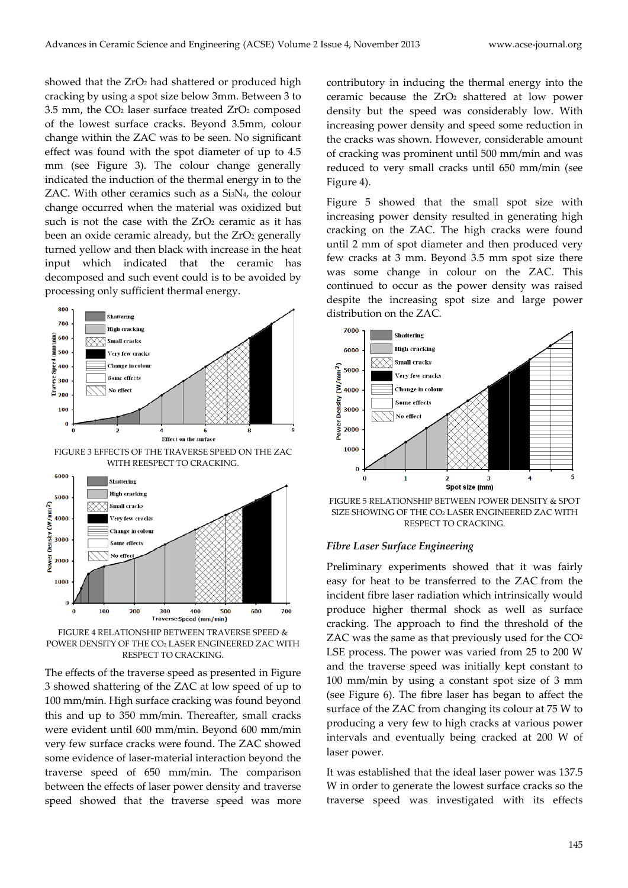showed that the ZrO<sub>2</sub> had shattered or produced high cracking by using a spot size below 3mm. Between 3 to 3.5 mm, the CO2 laser surface treated ZrO2 composed of the lowest surface cracks. Beyond 3.5mm, colour change within the ZAC was to be seen. No significant effect was found with the spot diameter of up to 4.5 mm (see Figure 3). The colour change generally indicated the induction of the thermal energy in to the ZAC. With other ceramics such as a Si3N4, the colour change occurred when the material was oxidized but such is not the case with the  $ZrO<sub>2</sub>$  ceramic as it has been an oxide ceramic already, but the ZrO2 generally turned yellow and then black with increase in the heat input which indicated that the ceramic has decomposed and such event could is to be avoided by processing only sufficient thermal energy.



FIGURE 4 RELATIONSHIP BETWEEN TRAVERSE SPEED & POWER DENSITY OF THE CO2 LASER ENGINEERED ZAC WITH RESPECT TO CRACKING.

The effects of the traverse speed as presented in Figure 3 showed shattering of the ZAC at low speed of up to 100 mm/min. High surface cracking was found beyond this and up to 350 mm/min. Thereafter, small cracks were evident until 600 mm/min. Beyond 600 mm/min very few surface cracks were found. The ZAC showed some evidence of laser-material interaction beyond the traverse speed of 650 mm/min. The comparison between the effects of laser power density and traverse speed showed that the traverse speed was more

contributory in inducing the thermal energy into the ceramic because the ZrO<sub>2</sub> shattered at low power density but the speed was considerably low. With increasing power density and speed some reduction in the cracks was shown. However, considerable amount of cracking was prominent until 500 mm/min and was reduced to very small cracks until 650 mm/min (see Figure 4).

Figure 5 showed that the small spot size with increasing power density resulted in generating high cracking on the ZAC. The high cracks were found until 2 mm of spot diameter and then produced very few cracks at 3 mm. Beyond 3.5 mm spot size there was some change in colour on the ZAC. This continued to occur as the power density was raised despite the increasing spot size and large power distribution on the ZAC.



FIGURE 5 RELATIONSHIP BETWEEN POWER DENSITY & SPOT SIZE SHOWING OF THE CO2 LASER ENGINEERED ZAC WITH RESPECT TO CRACKING.

#### *Fibre Laser Surface Engineering*

Preliminary experiments showed that it was fairly easy for heat to be transferred to the ZAC from the incident fibre laser radiation which intrinsically would produce higher thermal shock as well as surface cracking. The approach to find the threshold of the ZAC was the same as that previously used for the CO<sup>2</sup> LSE process. The power was varied from 25 to 200 W and the traverse speed was initially kept constant to 100 mm/min by using a constant spot size of 3 mm (see Figure 6). The fibre laser has began to affect the surface of the ZAC from changing its colour at 75 W to producing a very few to high cracks at various power intervals and eventually being cracked at 200 W of laser power.

It was established that the ideal laser power was 137.5 W in order to generate the lowest surface cracks so the traverse speed was investigated with its effects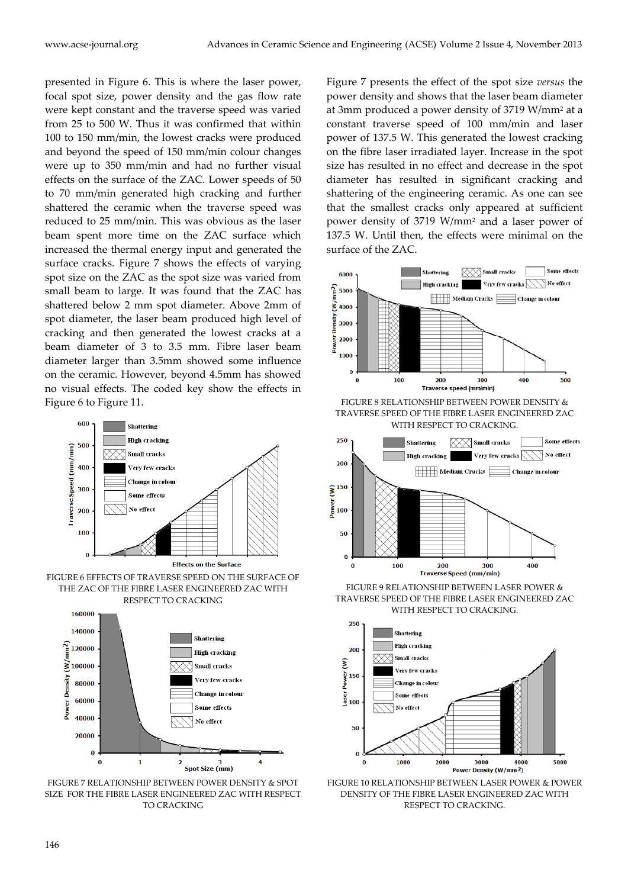presented in Figure 6. This is where the laser power, focal spot size, power density and the gas flow rate were kept constant and the traverse speed was varied from 25 to 500 W. Thus it was confirmed that within 100 to 150 mm/min, the lowest cracks were produced and beyond the speed of 150 mm/min colour changes were up to 350 mm/min and had no further visual effects on the surface of the ZAC. Lower speeds of 50 to 70 mm/min generated high cracking and further shattered the ceramic when the traverse speed was reduced to 25 mm/min. This was obvious as the laser beam spent more time on the ZAC surface which increased the thermal energy input and generated the surface cracks. Figure 7 shows the effects of varying spot size on the ZAC as the spot size was varied from small beam to large. It was found that the ZAC has shattered below 2 mm spot diameter. Above 2mm of spot diameter, the laser beam produced high level of cracking and then generated the lowest cracks at a beam diameter of 3 to 3.5 mm. Fibre laser beam diameter larger than 3.5mm showed some influence on the ceramic. However, beyond 4.5mm has showed no visual effects. The coded key show the effects in Figure 6 to Figure 11.





FIGURE 7 RELATIONSHIP BETWEEN POWER DENSITY & SPOT SIZE FOR THE FIBRE LASER ENGINEERED ZAC WITH RESPECT TO CRACKING

Figure 7 presents the effect of the spot size *versus* the power density and shows that the laser beam diameter at 3mm produced a power density of 3719 W/mm2 at a constant traverse speed of 100 mm/min and laser power of 137.5 W. This generated the lowest cracking on the fibre laser irradiated layer. Increase in the spot size has resulted in no effect and decrease in the spot diameter has resulted in significant cracking and shattering of the engineering ceramic. As one can see that the smallest cracks only appeared at sufficient power density of 3719 W/mm2 and a laser power of 137.5 W. Until then, the effects were minimal on the surface of the ZAC.



FIGURE 8 RELATIONSHIP BETWEEN POWER DENSITY & TRAVERSE SPEED OF THE FIBRE LASER ENGINEERED ZAC WITH RESPECT TO CRACKING.



FIGURE 9 RELATIONSHIP BETWEEN LASER POWER & TRAVERSE SPEED OF THE FIBRE LASER ENGINEERED ZAC WITH RESPECT TO CRACKING.



FIGURE 10 RELATIONSHIP BETWEEN LASER POWER & POWER DENSITY OF THE FIBRE LASER ENGINEERED ZAC WITH RESPECT TO CRACKING.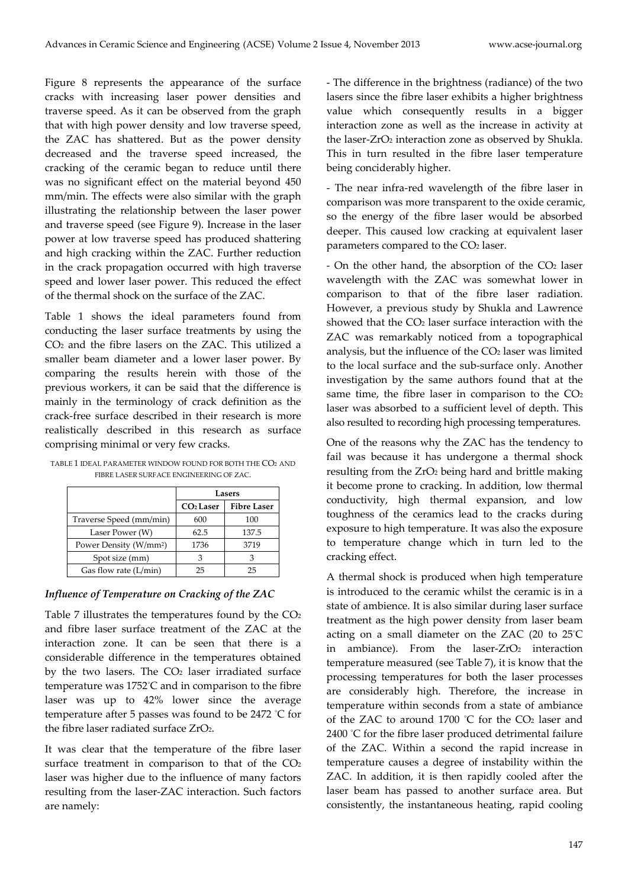Figure 8 represents the appearance of the surface cracks with increasing laser power densities and traverse speed. As it can be observed from the graph that with high power density and low traverse speed, the ZAC has shattered. But as the power density decreased and the traverse speed increased, the cracking of the ceramic began to reduce until there was no significant effect on the material beyond 450 mm/min. The effects were also similar with the graph illustrating the relationship between the laser power and traverse speed (see Figure 9). Increase in the laser power at low traverse speed has produced shattering and high cracking within the ZAC. Further reduction in the crack propagation occurred with high traverse speed and lower laser power. This reduced the effect of the thermal shock on the surface of the ZAC.

Table 1 shows the ideal parameters found from conducting the laser surface treatments by using the CO2 and the fibre lasers on the ZAC. This utilized a smaller beam diameter and a lower laser power. By comparing the results herein with those of the previous workers, it can be said that the difference is mainly in the terminology of crack definition as the crack-free surface described in their research is more realistically described in this research as surface comprising minimal or very few cracks.

|                                    | Lasers                |                    |
|------------------------------------|-----------------------|--------------------|
|                                    | CO <sub>2</sub> Laser | <b>Fibre Laser</b> |
| Traverse Speed (mm/min)            | 600                   | 100                |
| Laser Power (W)                    | 62.5                  | 137.5              |
| Power Density (W/mm <sup>2</sup> ) | 1736                  | 3719               |
| Spot size (mm)                     | κ                     |                    |
| Gas flow rate (L/min)              | 25                    | 25                 |

TABLE 1 IDEAL PARAMETER WINDOW FOUND FOR BOTH THE CO2 AND FIBRE LASER SURFACE ENGINEERING OF ZAC.

#### *Influence of Temperature on Cracking of the ZAC*

Table 7 illustrates the temperatures found by the CO2 and fibre laser surface treatment of the ZAC at the interaction zone. It can be seen that there is a considerable difference in the temperatures obtained by the two lasers. The  $CO<sub>2</sub>$  laser irradiated surface temperature was 1752° C and in comparison to the fibre laser was up to 42% lower since the average temperature after 5 passes was found to be 2472 ° C for the fibre laser radiated surface ZrO<sub>2</sub>.

It was clear that the temperature of the fibre laser surface treatment in comparison to that of the CO<sub>2</sub> laser was higher due to the influence of many factors resulting from the laser-ZAC interaction. Such factors are namely:

- The difference in the brightness (radiance) of the two lasers since the fibre laser exhibits a higher brightness value which consequently results in a bigger interaction zone as well as the increase in activity at the laser-ZrO<sub>2</sub> interaction zone as observed by Shukla. This in turn resulted in the fibre laser temperature being conciderably higher.

- The near infra-red wavelength of the fibre laser in comparison was more transparent to the oxide ceramic, so the energy of the fibre laser would be absorbed deeper. This caused low cracking at equivalent laser parameters compared to the CO<sub>2</sub> laser.

- On the other hand, the absorption of the CO2 laser wavelength with the ZAC was somewhat lower in comparison to that of the fibre laser radiation. However, a previous study by Shukla and Lawrence showed that the CO<sub>2</sub> laser surface interaction with the ZAC was remarkably noticed from a topographical analysis, but the influence of the CO<sub>2</sub> laser was limited to the local surface and the sub-surface only. Another investigation by the same authors found that at the same time, the fibre laser in comparison to the  $CO<sub>2</sub>$ laser was absorbed to a sufficient level of depth. This also resulted to recording high processing temperatures.

One of the reasons why the ZAC has the tendency to fail was because it has undergone a thermal shock resulting from the ZrO2 being hard and brittle making it become prone to cracking. In addition, low thermal conductivity, high thermal expansion, and low toughness of the ceramics lead to the cracks during exposure to high temperature. It was also the exposure to temperature change which in turn led to the cracking effect.

A thermal shock is produced when high temperature is introduced to the ceramic whilst the ceramic is in a state of ambience. It is also similar during laser surface treatment as the high power density from laser beam acting on a small diameter on the ZAC (20 to 25° C in ambiance). From the laser- $ZrO<sub>2</sub>$  interaction temperature measured (see Table 7), it is know that the processing temperatures for both the laser processes are considerably high. Therefore, the increase in temperature within seconds from a state of ambiance of the ZAC to around 1700 ° C for the CO2 laser and 2400 ° C for the fibre laser produced detrimental failure of the ZAC. Within a second the rapid increase in temperature causes a degree of instability within the ZAC. In addition, it is then rapidly cooled after the laser beam has passed to another surface area. But consistently, the instantaneous heating, rapid cooling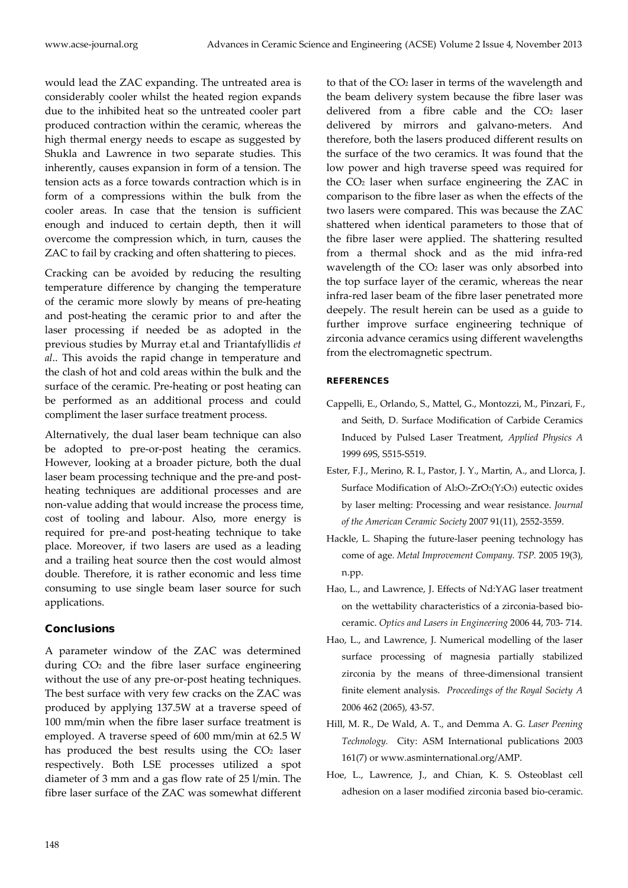would lead the ZAC expanding. The untreated area is considerably cooler whilst the heated region expands due to the inhibited heat so the untreated cooler part produced contraction within the ceramic, whereas the high thermal energy needs to escape as suggested by Shukla and Lawrence in two separate studies. This inherently, causes expansion in form of a tension. The tension acts as a force towards contraction which is in form of a compressions within the bulk from the cooler areas. In case that the tension is sufficient enough and induced to certain depth, then it will overcome the compression which, in turn, causes the ZAC to fail by cracking and often shattering to pieces.

Cracking can be avoided by reducing the resulting temperature difference by changing the temperature of the ceramic more slowly by means of pre-heating and post-heating the ceramic prior to and after the laser processing if needed be as adopted in the previous studies by Murray et.al and Triantafyllidis *et al*.. This avoids the rapid change in temperature and the clash of hot and cold areas within the bulk and the surface of the ceramic. Pre-heating or post heating can be performed as an additional process and could compliment the laser surface treatment process.

Alternatively, the dual laser beam technique can also be adopted to pre-or-post heating the ceramics. However, looking at a broader picture, both the dual laser beam processing technique and the pre-and postheating techniques are additional processes and are non-value adding that would increase the process time, cost of tooling and labour. Also, more energy is required for pre-and post-heating technique to take place. Moreover, if two lasers are used as a leading and a trailing heat source then the cost would almost double. Therefore, it is rather economic and less time consuming to use single beam laser source for such applications.

#### **Conclusions**

A parameter window of the ZAC was determined during CO2 and the fibre laser surface engineering without the use of any pre-or-post heating techniques. The best surface with very few cracks on the ZAC was produced by applying 137.5W at a traverse speed of 100 mm/min when the fibre laser surface treatment is employed. A traverse speed of 600 mm/min at 62.5 W has produced the best results using the  $CO<sub>2</sub>$  laser respectively. Both LSE processes utilized a spot diameter of 3 mm and a gas flow rate of 25 l/min. The fibre laser surface of the ZAC was somewhat different to that of the CO2 laser in terms of the wavelength and the beam delivery system because the fibre laser was delivered from a fibre cable and the  $CO<sub>2</sub>$  laser delivered by mirrors and galvano-meters. And therefore, both the lasers produced different results on the surface of the two ceramics. It was found that the low power and high traverse speed was required for the CO2 laser when surface engineering the ZAC in comparison to the fibre laser as when the effects of the two lasers were compared. This was because the ZAC shattered when identical parameters to those that of the fibre laser were applied. The shattering resulted from a thermal shock and as the mid infra-red wavelength of the CO<sub>2</sub> laser was only absorbed into the top surface layer of the ceramic, whereas the near infra-red laser beam of the fibre laser penetrated more deepely. The result herein can be used as a guide to further improve surface engineering technique of zirconia advance ceramics using different wavelengths from the electromagnetic spectrum.

#### **REFERENCES**

- Cappelli, E., Orlando, S., Mattel, G., Montozzi, M., Pinzari, F., and Seith, D. Surface Modification of Carbide Ceramics Induced by Pulsed Laser Treatment, *Applied Physics A* 1999 69S, S515-S519.
- Ester, F.J., Merino, R. I., Pastor, J. Y., Martin, A., and Llorca, J. Surface Modification of Al2O<sub>3</sub>-ZrO<sub>2</sub>(Y<sub>2</sub>O<sub>3</sub>) eutectic oxides by laser melting: Processing and wear resistance. *Journal of the American Ceramic Society* 2007 91(11), 2552-3559.
- Hackle, L. Shaping the future-laser peening technology has come of age*. Metal Improvement Company. TSP.* 2005 19(3), n.pp.
- Hao, L., and Lawrence, J. Effects of Nd:YAG laser treatment on the wettability characteristics of a zirconia-based bioceramic. *Optics and Lasers in Engineering* 2006 44, 703- 714.
- Hao, L., and Lawrence, J. Numerical modelling of the laser surface processing of magnesia partially stabilized zirconia by the means of three-dimensional transient finite element analysis. *Proceedings of the Royal Society A* 2006 462 (2065), 43-57.
- Hill, M. R., De Wald, A. T., and Demma A. G. *Laser Peening Technology.* City: ASM International publications 2003 161(7) or www.asminternational.org/AMP.
- Hoe, L., Lawrence, J., and Chian, K. S. Osteoblast cell adhesion on a laser modified zirconia based bio-ceramic.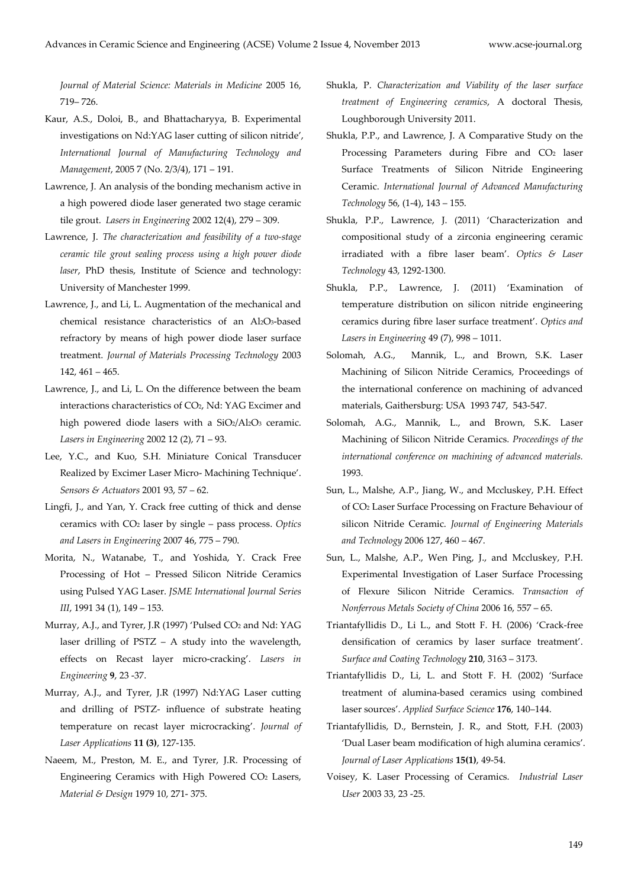*Journal of Material Science: Materials in Medicine* 2005 16, 719– 726.

- Kaur, A.S., Doloi, B., and Bhattacharyya, B. Experimental investigations on Nd:YAG laser cutting of silicon nitride', *International Journal of Manufacturing Technology and Management*, 2005 7 (No. 2/3/4), 171 – 191.
- Lawrence, J. An analysis of the bonding mechanism active in a high powered diode laser generated two stage ceramic tile grout. *Lasers in Engineering* 2002 12(4), 279 – 309.
- Lawrence, J. *The characterization and feasibility of a two-stage ceramic tile grout sealing process using a high power diode laser*, PhD thesis, Institute of Science and technology: University of Manchester 1999.
- Lawrence, J., and Li, L. Augmentation of the mechanical and chemical resistance characteristics of an Al2O3-based refractory by means of high power diode laser surface treatment. *Journal of Materials Processing Technology* 2003 142, 461 – 465.
- Lawrence, J., and Li, L. On the difference between the beam interactions characteristics of CO2, Nd: YAG Excimer and high powered diode lasers with a SiO2/Al2O3 ceramic. *Lasers in Engineering* 2002 12 (2), 71 – 93.
- Lee, Y.C., and Kuo, S.H. Miniature Conical Transducer Realized by Excimer Laser Micro- Machining Technique'. *Sensors & Actuators* 2001 93, 57 – 62.
- Lingfi, J., and Yan, Y. Crack free cutting of thick and dense ceramics with CO2 laser by single – pass process. *Optics and Lasers in Engineering* 2007 46, 775 – 790.
- Morita, N., Watanabe, T., and Yoshida, Y. Crack Free Processing of Hot – Pressed Silicon Nitride Ceramics using Pulsed YAG Laser. *JSME International Journal Series III*, 1991 34 (1), 149 – 153.
- Murray, A.J., and Tyrer, J.R (1997) 'Pulsed CO<sub>2</sub> and Nd: YAG laser drilling of PSTZ – A study into the wavelength, effects on Recast layer micro-cracking'. *Lasers in Engineering* **9**, 23 -37.
- Murray, A.J., and Tyrer, J.R (1997) Nd:YAG Laser cutting and drilling of PSTZ- influence of substrate heating temperature on recast layer microcracking'. *Journal of Laser Applications* **11 (3)**, 127-135.
- Naeem, M., Preston, M. E., and Tyrer, J.R. Processing of Engineering Ceramics with High Powered CO2 Lasers, *Material & Design* 1979 10, 271- 375.
- Shukla, P. *Characterization and Viability of the laser surface treatment of Engineering ceramics*, A doctoral Thesis, Loughborough University 2011.
- Shukla, P.P., and Lawrence, J. A Comparative Study on the Processing Parameters during Fibre and CO<sub>2</sub> laser Surface Treatments of Silicon Nitride Engineering Ceramic. *International Journal of Advanced Manufacturing Technology* 56, (1-4), 143 – 155.
- Shukla, P.P., Lawrence, J. (2011) 'Characterization and compositional study of a zirconia engineering ceramic irradiated with a fibre laser beam'. *Optics & Laser Technology* 43, 1292-1300.
- Shukla, P.P., Lawrence, J. (2011) 'Examination of temperature distribution on silicon nitride engineering ceramics during fibre laser surface treatment'. *Optics and Lasers in Engineering* 49 (7), 998 – 1011.
- Solomah, A.G., Mannik, L., and Brown, S.K. Laser Machining of Silicon Nitride Ceramics, Proceedings of the international conference on machining of advanced materials, Gaithersburg: USA 1993 747, 543-547.
- Solomah, A.G., Mannik, L., and Brown, S.K. Laser Machining of Silicon Nitride Ceramics. *Proceedings of the international conference on machining of advanced materials.*  1993.
- Sun, L., Malshe, A.P., Jiang, W., and Mccluskey, P.H. Effect of CO2 Laser Surface Processing on Fracture Behaviour of silicon Nitride Ceramic. *Journal of Engineering Materials and Technology* 2006 127, 460 – 467.
- Sun, L., Malshe, A.P., Wen Ping, J., and Mccluskey, P.H. Experimental Investigation of Laser Surface Processing of Flexure Silicon Nitride Ceramics. *Transaction of Nonferrous Metals Society of China* 2006 16, 557 – 65.
- Triantafyllidis D., Li L., and Stott F. H. (2006) 'Crack-free densification of ceramics by laser surface treatment'. *Surface and Coating Technology* **210**, 3163 – 3173.
- Triantafyllidis D., Li, L. and Stott F. H. (2002) 'Surface treatment of alumina-based ceramics using combined laser sources'. *Applied Surface Science* **176**, 140–144.
- Triantafyllidis, D., Bernstein, J. R., and Stott, F.H. (2003) 'Dual Laser beam modification of high alumina ceramics'. *Journal of Laser Applications* **15(1)**, 49-54.
- Voisey, K. Laser Processing of Ceramics. *Industrial Laser User* 2003 33, 23 -25.